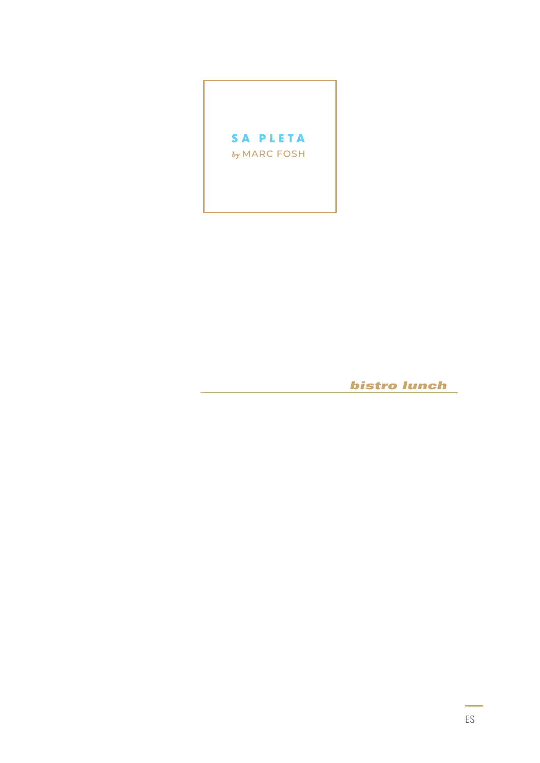

**bistro lunch**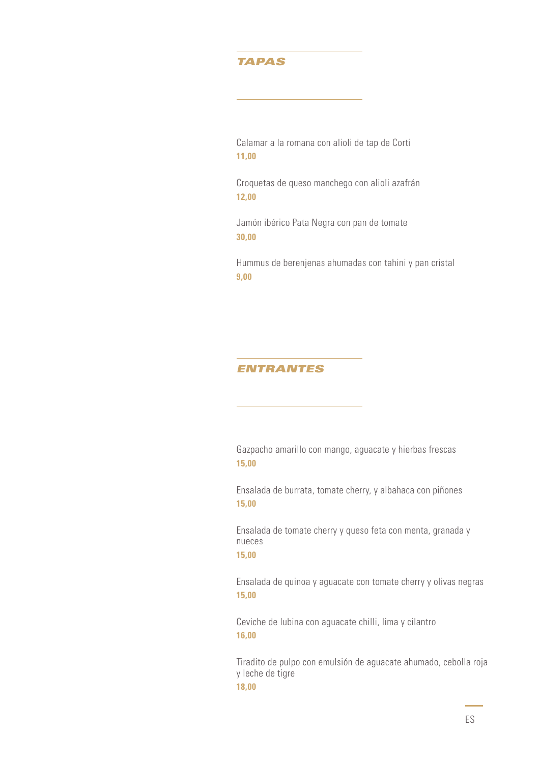### *TAPAS*

Calamar a la romana con alioli de tap de Corti **11,00**

Croquetas de queso manchego con alioli azafrán **12,00**

Jamón ibérico Pata Negra con pan de tomate **30,00**

Hummus de berenjenas ahumadas con tahini y pan cristal **9,00**

#### *ENTRANTES*

Gazpacho amarillo con mango, aguacate y hierbas frescas **15,00**

Ensalada de burrata, tomate cherry, y albahaca con piñones **15,00**

Ensalada de tomate cherry y queso feta con menta, granada y nueces **15,00**

Ensalada de quinoa y aguacate con tomate cherry y olivas negras **15,00**

Ceviche de lubina con aguacate chilli, lima y cilantro **16,00**

Tiradito de pulpo con emulsión de aguacate ahumado, cebolla roja y leche de tigre **18,00**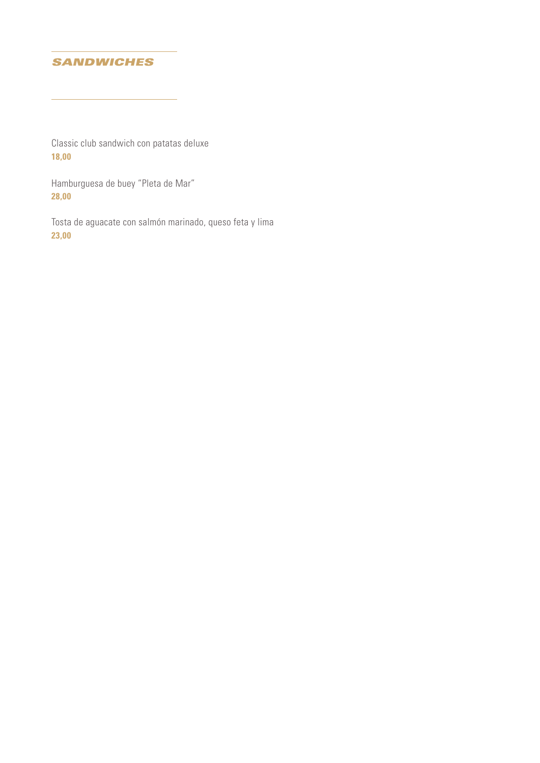# *SANDWICHES*

Classic club sandwich con patatas deluxe **18,00**

Hamburguesa de buey "Pleta de Mar" **28,00**

Tosta de aguacate con salmón marinado, queso feta y lima **23,00**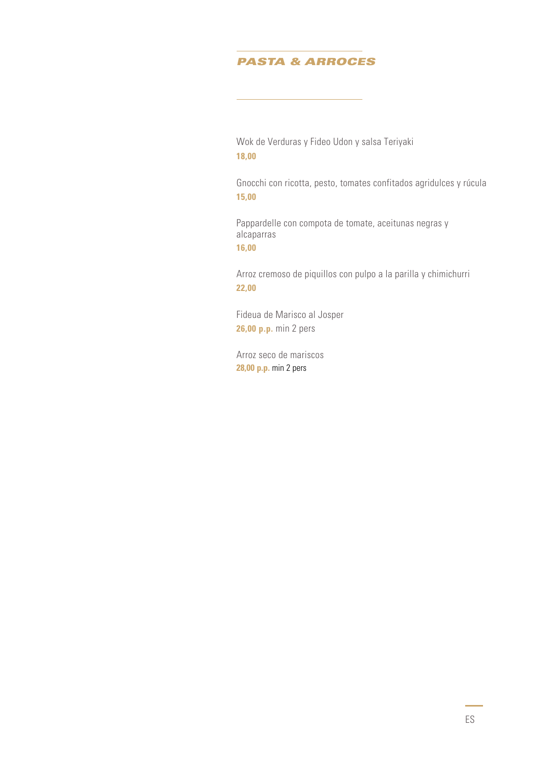# *PASTA & ARROCES*

Wok de Verduras y Fideo Udon y salsa Teriyaki **18,00**

Gnocchi con ricotta, pesto, tomates confitados agridulces y rúcula **15,00**

Pappardelle con compota de tomate, aceitunas negras y alcaparras **16,00**

Arroz cremoso de piquillos con pulpo a la parilla y chimichurri **22,00**

Fideua de Marisco al Josper **26,00 p.p.** min 2 pers

Arroz seco de mariscos **28,00 p.p.** min 2 pers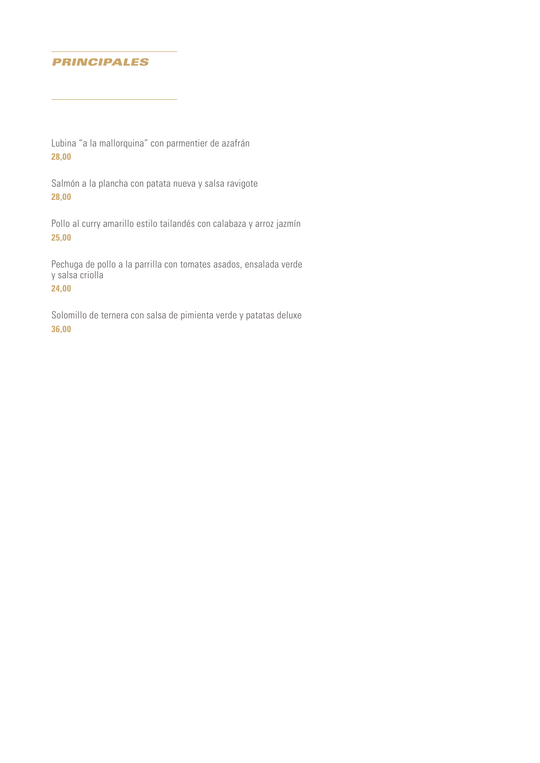# *PRINCIPALES*

Lubina "a la mallorquina" con parmentier de azafrán **28,00**

Salmón a la plancha con patata nueva y salsa ravigote **28,00**

Pollo al curry amarillo estilo tailandés con calabaza y arroz jazmín **25,00**

Pechuga de pollo a la parrilla con tomates asados, ensalada verde y salsa criolla

**24,00**

Solomillo de ternera con salsa de pimienta verde y patatas deluxe **36,00**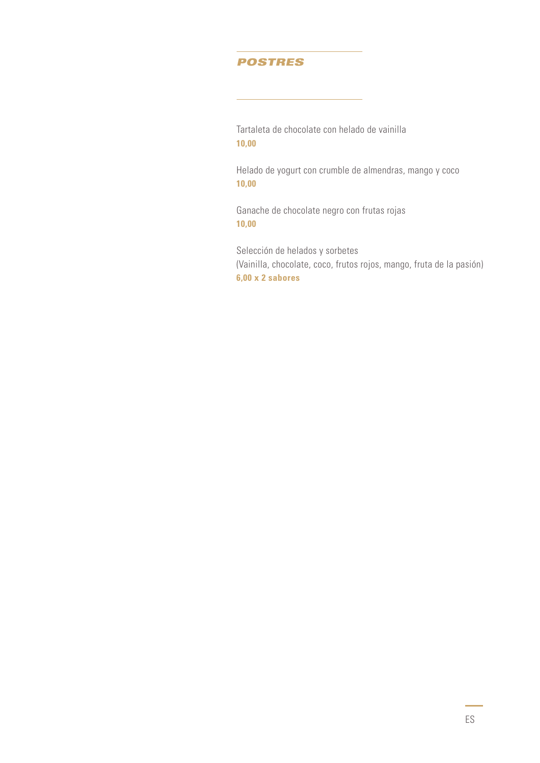#### *POSTRES*

Tartaleta de chocolate con helado de vainilla **10,00**

Helado de yogurt con crumble de almendras, mango y coco **10,00**

Ganache de chocolate negro con frutas rojas **10,00**

Selección de helados y sorbetes (Vainilla, chocolate, coco, frutos rojos, mango, fruta de la pasión) **6,00 x 2 sabores**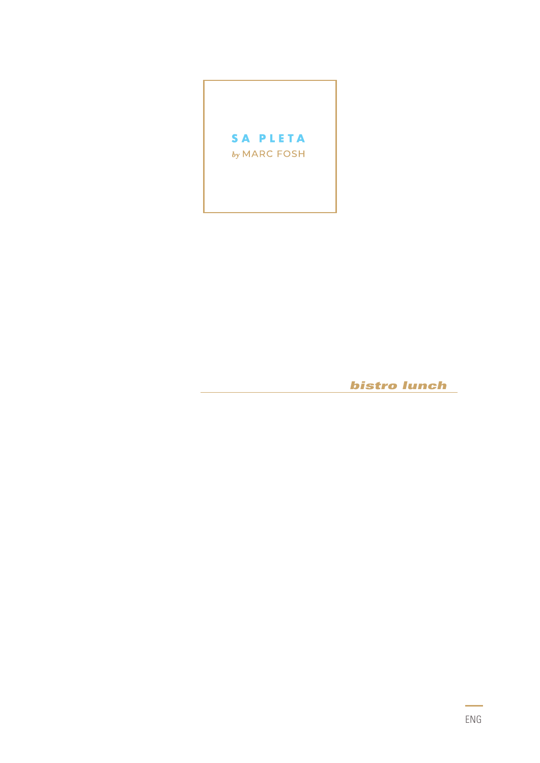

**bistro lunch**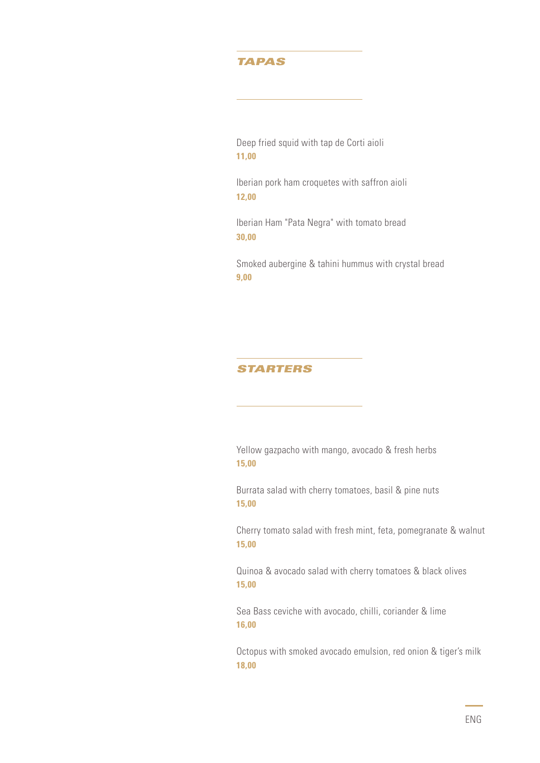# *TAPAS*

Deep fried squid with tap de Corti aioli **11,00**

Iberian pork ham croquetes with saffron aioli **12,00**

Iberian Ham "Pata Negra" with tomato bread **30,00**

Smoked aubergine & tahini hummus with crystal bread **9,00**

#### *STARTERS*

Yellow gazpacho with mango, avocado & fresh herbs **15,00**

Burrata salad with cherry tomatoes, basil & pine nuts **15,00**

Cherry tomato salad with fresh mint, feta, pomegranate & walnut **15,00**

Quinoa & avocado salad with cherry tomatoes & black olives **15,00**

Sea Bass ceviche with avocado, chilli, coriander & lime **16,00**

Octopus with smoked avocado emulsion, red onion & tiger's milk **18,00**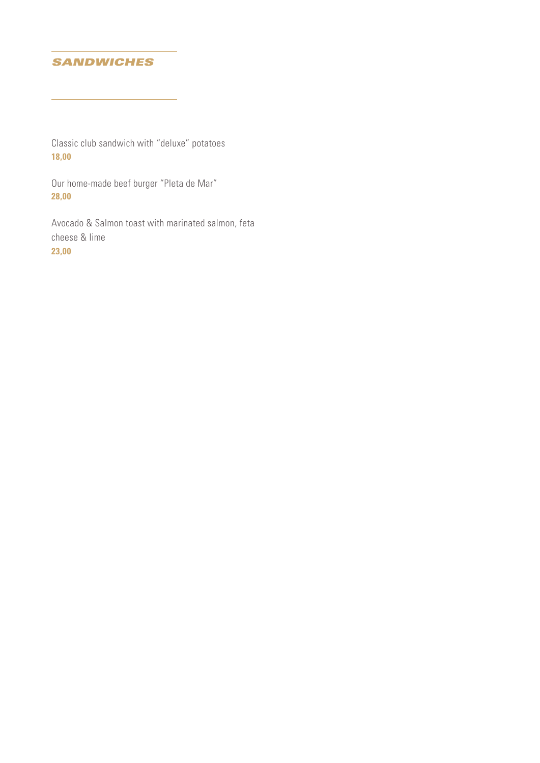# *SANDWICHES*

Classic club sandwich with "deluxe" potatoes **18,00**

Our home-made beef burger "Pleta de Mar" **28,00**

Avocado & Salmon toast with marinated salmon, feta cheese & lime **23,00**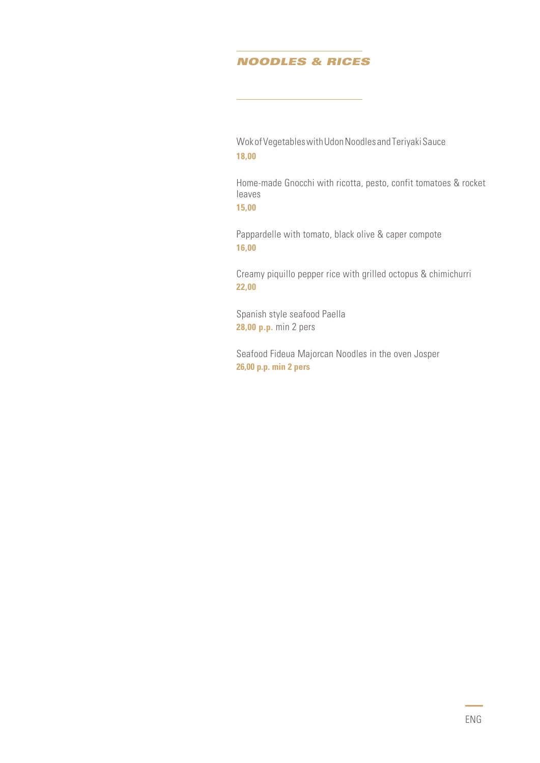# *NOODLES & RICES*

Wok of Vegetables with Udon Noodles and Teriyaki Sauce **18,00**

Home-made Gnocchi with ricotta, pesto, confit tomatoes & rocket leaves

**15,00**

Pappardelle with tomato, black olive & caper compote **16,00**

Creamy piquillo pepper rice with grilled octopus & chimichurri **22,00** 

Spanish style seafood Paella **28,00 p.p.** min 2 pers

Seafood Fideua Majorcan Noodles in the oven Josper **26,00 p.p. min 2 pers**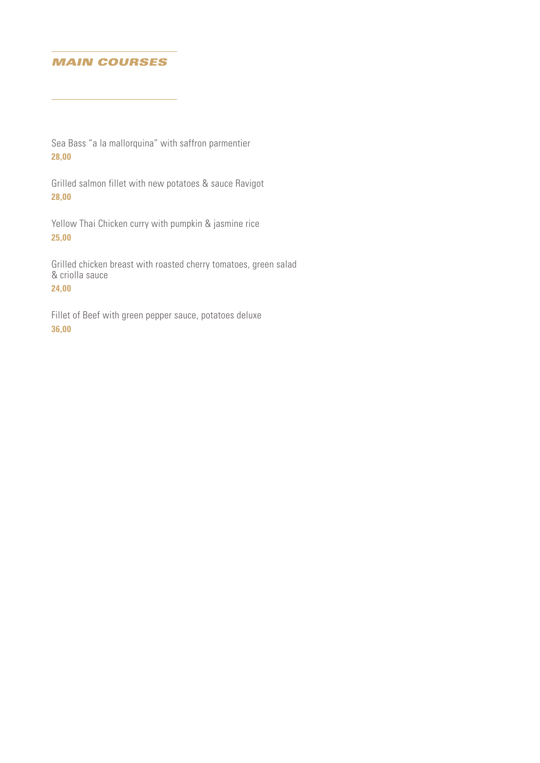### *MAIN COURSES*

Sea Bass "a la mallorquina" with saffron parmentier **28,00**

Grilled salmon fillet with new potatoes & sauce Ravigot **28,00**

Yellow Thai Chicken curry with pumpkin & jasmine rice **25,00**

Grilled chicken breast with roasted cherry tomatoes, green salad & criolla sauce

**24,00**

Fillet of Beef with green pepper sauce, potatoes deluxe **36,00**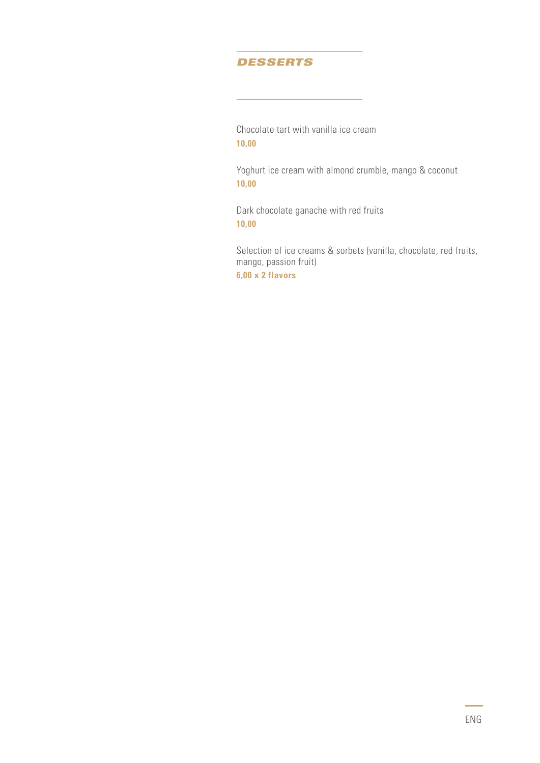### *DESSERTS*

Chocolate tart with vanilla ice cream **10,00**

Yoghurt ice cream with almond crumble, mango & coconut **10,00**

Dark chocolate ganache with red fruits **10,00**

Selection of ice creams & sorbets (vanilla, chocolate, red fruits, mango, passion fruit) **6,00 x 2 flavors**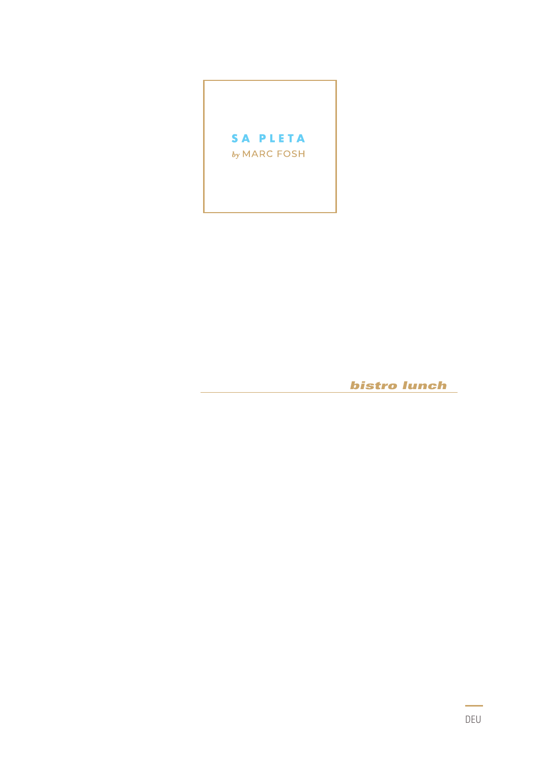

**bistro lunch**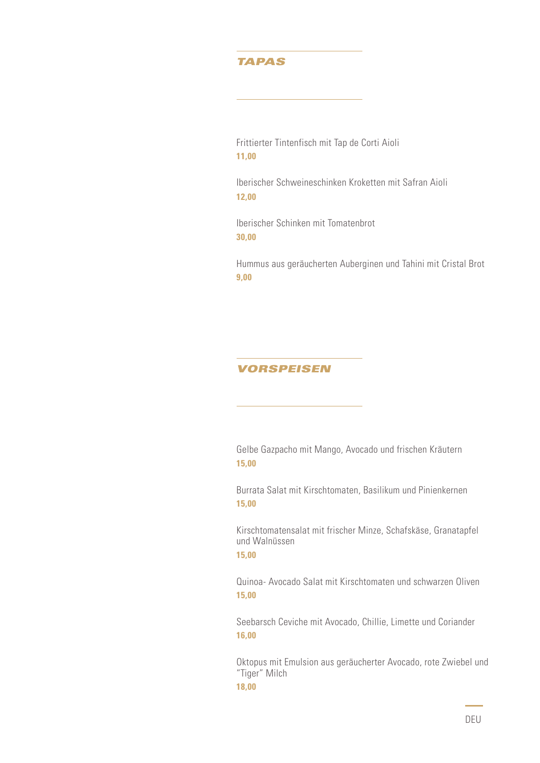### *TAPAS*

Frittierter Tintenfisch mit Tap de Corti Aioli **11,00**

Iberischer Schweineschinken Kroketten mit Safran Aioli **12,00**

Iberischer Schinken mit Tomatenbrot **30,00**

Hummus aus geräucherten Auberginen und Tahini mit Cristal Brot **9,00**

### *VORSPEISEN*

Gelbe Gazpacho mit Mango, Avocado und frischen Kräutern **15,00**

Burrata Salat mit Kirschtomaten, Basilikum und Pinienkernen **15,00**

Kirschtomatensalat mit frischer Minze, Schafskäse, Granatapfel und Walnüssen **15,00**

Quinoa- Avocado Salat mit Kirschtomaten und schwarzen Oliven **15,00**

Seebarsch Ceviche mit Avocado, Chillie, Limette und Coriander **16,00**

Oktopus mit Emulsion aus geräucherter Avocado, rote Zwiebel und "Tiger" Milch **18,00**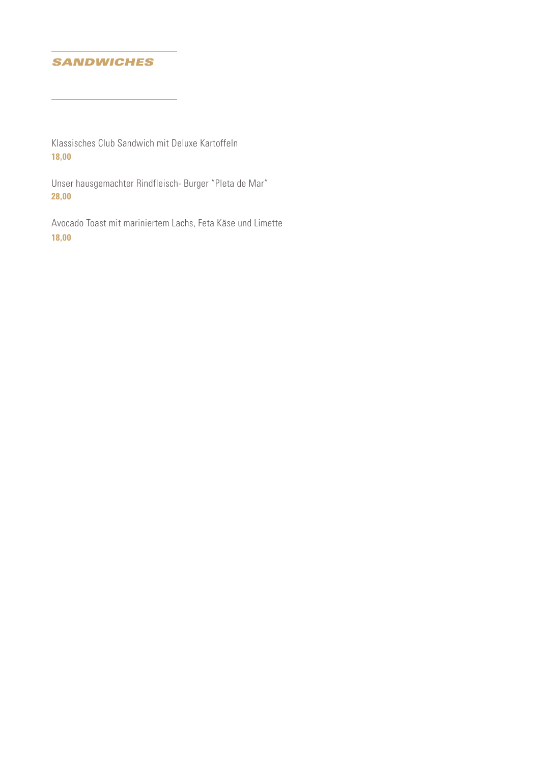# *SANDWICHES*

Klassisches Club Sandwich mit Deluxe Kartoffeln **18,00**

Unser hausgemachter Rindfleisch- Burger "Pleta de Mar" **28,00**

Avocado Toast mit mariniertem Lachs, Feta Käse und Limette **18,00**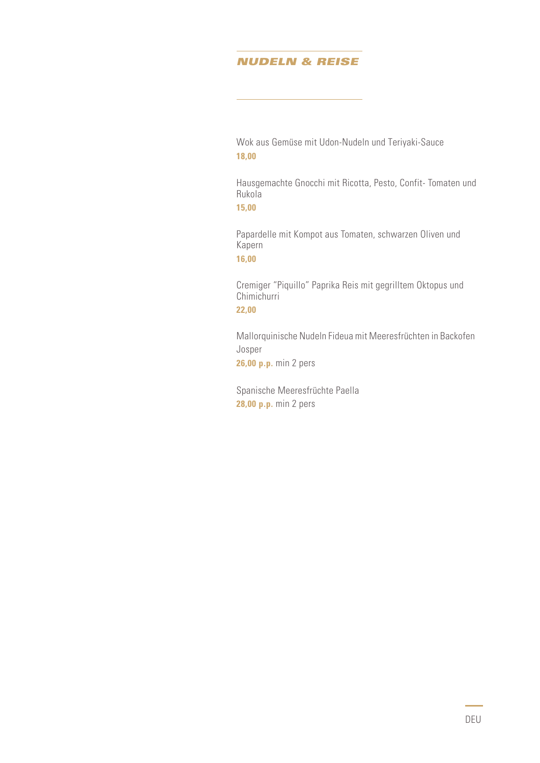# *NUDELN & REISE*

Wok aus Gemüse mit Udon-Nudeln und Teriyaki-Sauce **18,00**

Hausgemachte Gnocchi mit Ricotta, Pesto, Confit- Tomaten und Rukola

**15,00**

Papardelle mit Kompot aus Tomaten, schwarzen Oliven und Kapern **16,00**

Cremiger "Piquillo" Paprika Reis mit gegrilltem Oktopus und **Chimichurri 22,00**

Mallorquinische Nudeln Fideua mit Meeresfrüchten in Backofen Josper

**26,00 p.p.** min 2 pers

Spanische Meeresfrüchte Paella **28,00 p.p.** min 2 pers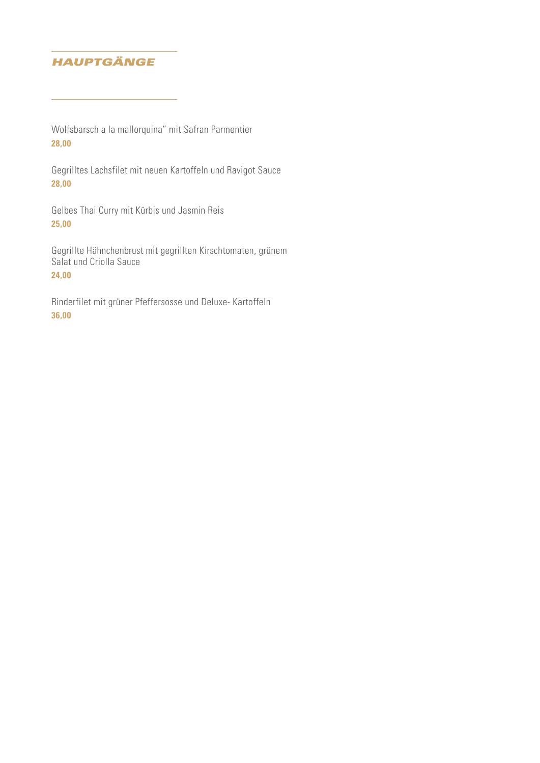# *HAUPTGÄNGE*

Wolfsbarsch a la mallorquina" mit Safran Parmentier **28,00**

Gegrilltes Lachsfilet mit neuen Kartoffeln und Ravigot Sauce **28,00**

Gelbes Thai Curry mit Kürbis und Jasmin Reis **25,00**

Gegrillte Hähnchenbrust mit gegrillten Kirschtomaten, grünem Salat und Criolla Sauce **24,00**

Rinderfilet mit grüner Pfeffersosse und Deluxe- Kartoffeln **36,00**